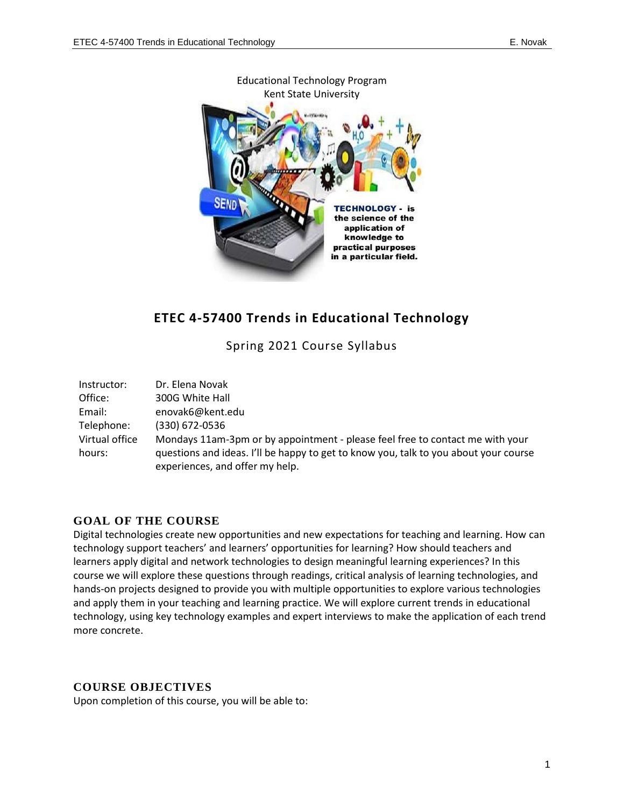

Educational Technology Program

## **ETEC 4-57400 Trends in Educational Technology**

Spring 2021 Course Syllabus

| Instructor:    | Dr. Elena Novak                                                                      |
|----------------|--------------------------------------------------------------------------------------|
| Office:        | 300G White Hall                                                                      |
| Email:         | enovak6@kent.edu                                                                     |
| Telephone:     | (330) 672-0536                                                                       |
| Virtual office | Mondays 11am-3pm or by appointment - please feel free to contact me with your        |
| hours:         | guestions and ideas. I'll be happy to get to know you, talk to you about your course |
|                | experiences, and offer my help.                                                      |

### **GOAL OF THE COURSE**

Digital technologies create new opportunities and new expectations for teaching and learning. How can technology support teachers' and learners' opportunities for learning? How should teachers and learners apply digital and network technologies to design meaningful learning experiences? In this course we will explore these questions through readings, critical analysis of learning technologies, and hands-on projects designed to provide you with multiple opportunities to explore various technologies and apply them in your teaching and learning practice. We will explore current trends in educational technology, using key technology examples and expert interviews to make the application of each trend more concrete.

### **COURSE OBJECTIVES**

Upon completion of this course, you will be able to: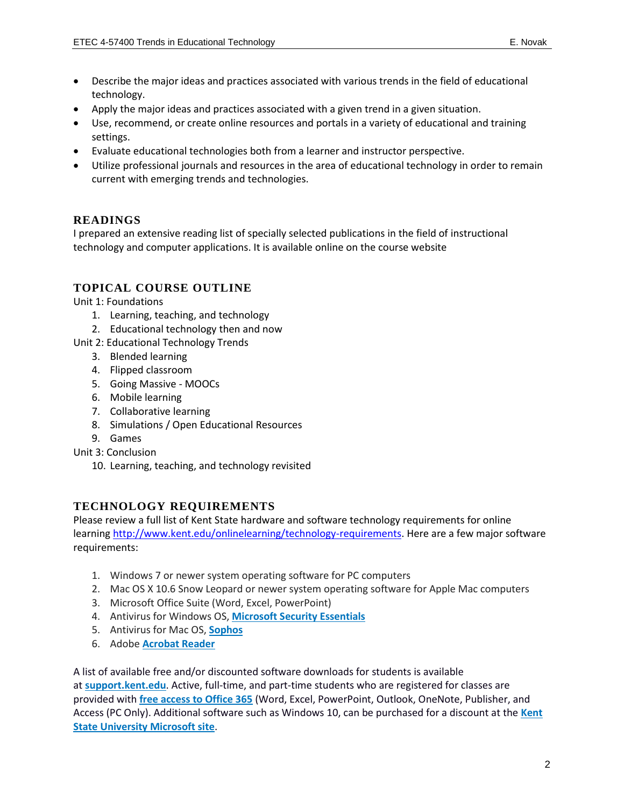- Describe the major ideas and practices associated with various trends in the field of educational technology.
- Apply the major ideas and practices associated with a given trend in a given situation.
- Use, recommend, or create online resources and portals in a variety of educational and training settings.
- Evaluate educational technologies both from a learner and instructor perspective.
- Utilize professional journals and resources in the area of educational technology in order to remain current with emerging trends and technologies.

### **READINGS**

I prepared an extensive reading list of specially selected publications in the field of instructional technology and computer applications. It is available online on the course website

### **TOPICAL COURSE OUTLINE**

Unit 1: Foundations

- 1. Learning, teaching, and technology
- 2. Educational technology then and now
- Unit 2: Educational Technology Trends
	- 3. Blended learning
	- 4. Flipped classroom
	- 5. Going Massive MOOCs
	- 6. Mobile learning
	- 7. Collaborative learning
	- 8. Simulations / Open Educational Resources
	- 9. Games
- Unit 3: Conclusion
	- 10. Learning, teaching, and technology revisited

### **TECHNOLOGY REQUIREMENTS**

Please review a full list of Kent State hardware and software technology requirements for online learning [http://www.kent.edu/onlinelearning/technology-requirements.](http://www.kent.edu/onlinelearning/technology-requirements) Here are a few major software requirements:

- 1. Windows 7 or newer system operating software for PC computers
- 2. Mac OS X 10.6 Snow Leopard or newer system operating software for Apple Mac computers
- 3. Microsoft Office Suite (Word, Excel, PowerPoint)
- 4. Antivirus for Windows OS, **[Microsoft Security Essentials](http://windows.microsoft.com/en-us/windows/security-essentials-download)**
- 5. Antivirus for Mac OS, **[Sophos](https://www.sophos.com/en-us/products/free-tools/sophos-antivirus-for-mac-home-edition.aspx)**
- 6. Adobe **[Acrobat Reader](https://get.adobe.com/reader/)**

A list of available free and/or discounted software downloads for students is available at **[support.kent.edu](https://support.kent.edu/sims/helpcenter/common/layout/SelfhelpArticleView.seam?inst_name=kent_student&article_id=8210-8096-9702&actionMethod=helpcenter%2Fcommon%2Flayout%2FSelfHelpHome.xhtml%3AivyTechSHPKbManager.searchKBRelatedArticleList&displaytag=tag#FreeDiscounted)**. Active, full-time, and part-time students who are registered for classes are provided with **[free access to Office 365](https://support.kent.edu/sims/helpcenter/common/layout/SelfhelpArticleView.seam?inst_name=kent_student&article_id=8210-8096-10904&actionMethod=helpcenter%2Fcommon%2Flayout%2FSelfHelpSearchArticleResult.xhtml%3AivyTechSHPKbManager.searchKBRelatedArticleList&cid=66323)** (Word, Excel, PowerPoint, Outlook, OneNote, Publisher, and Access (PC Only). Additional software such as Windows 10, can be purchased for a discount at the **[Kent](https://kent.onthehub.com/WebStore/ProductsByMajorVersionList.aspx?vsro=8)  [State University Microsoft site](https://kent.onthehub.com/WebStore/ProductsByMajorVersionList.aspx?vsro=8)**.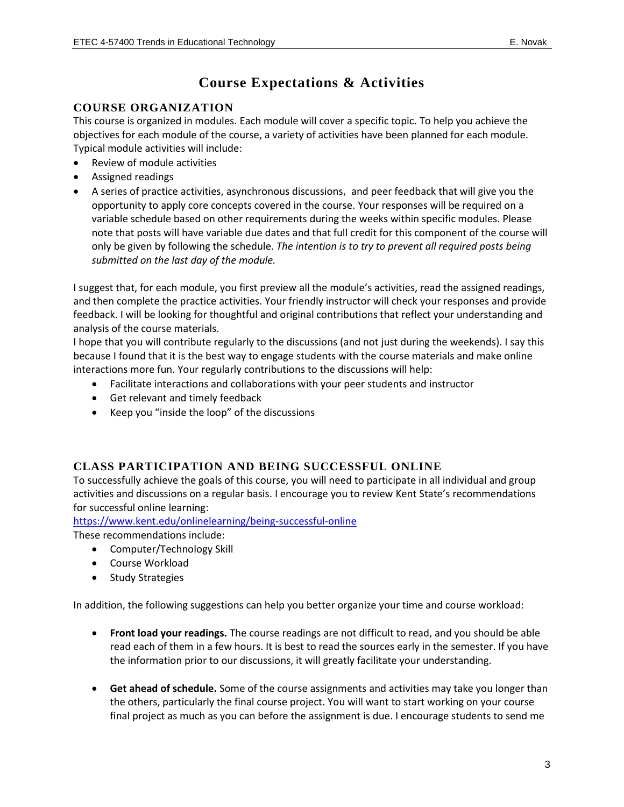# **Course Expectations & Activities**

### **COURSE ORGANIZATION**

This course is organized in modules. Each module will cover a specific topic. To help you achieve the objectives for each module of the course, a variety of activities have been planned for each module. Typical module activities will include:

- Review of module activities
- Assigned readings
- A series of practice activities, asynchronous discussions, and peer feedback that will give you the opportunity to apply core concepts covered in the course. Your responses will be required on a variable schedule based on other requirements during the weeks within specific modules. Please note that posts will have variable due dates and that full credit for this component of the course will only be given by following the schedule. *The intention is to try to prevent all required posts being submitted on the last day of the module.*

I suggest that, for each module, you first preview all the module's activities, read the assigned readings, and then complete the practice activities. Your friendly instructor will check your responses and provide feedback. I will be looking for thoughtful and original contributions that reflect your understanding and analysis of the course materials.

I hope that you will contribute regularly to the discussions (and not just during the weekends). I say this because I found that it is the best way to engage students with the course materials and make online interactions more fun. Your regularly contributions to the discussions will help:

- Facilitate interactions and collaborations with your peer students and instructor
- Get relevant and timely feedback
- Keep you "inside the loop" of the discussions

## **CLASS PARTICIPATION AND BEING SUCCESSFUL ONLINE**

To successfully achieve the goals of this course, you will need to participate in all individual and group activities and discussions on a regular basis. I encourage you to review Kent State's recommendations for successful online learning:

<https://www.kent.edu/onlinelearning/being-successful-online>

These recommendations include:

- Computer/Technology Skill
- Course Workload
- Study Strategies

In addition, the following suggestions can help you better organize your time and course workload:

- **Front load your readings.** The course readings are not difficult to read, and you should be able read each of them in a few hours. It is best to read the sources early in the semester. If you have the information prior to our discussions, it will greatly facilitate your understanding.
- **Get ahead of schedule.** Some of the course assignments and activities may take you longer than the others, particularly the final course project. You will want to start working on your course final project as much as you can before the assignment is due. I encourage students to send me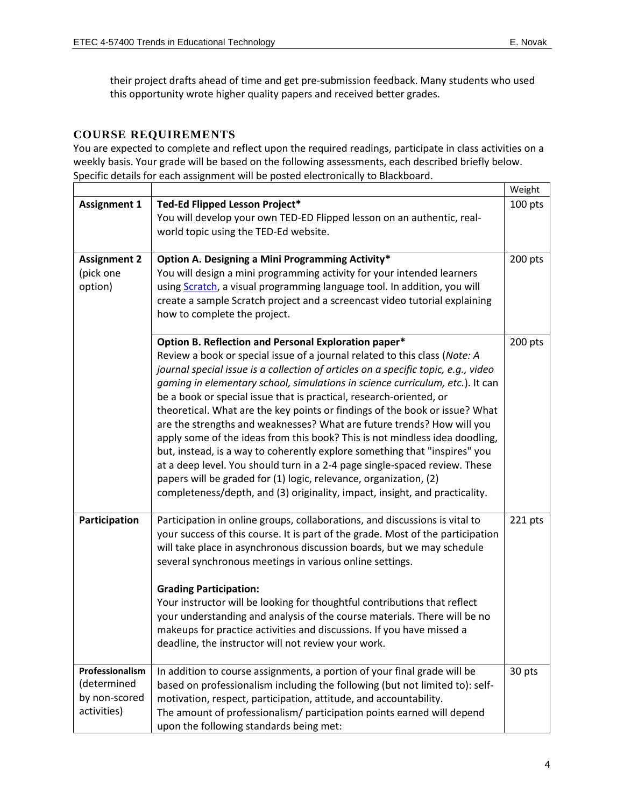their project drafts ahead of time and get pre-submission feedback. Many students who used this opportunity wrote higher quality papers and received better grades.

#### **COURSE REQUIREMENTS**

You are expected to complete and reflect upon the required readings, participate in class activities on a weekly basis. Your grade will be based on the following assessments, each described briefly below. Specific details for each assignment will be posted electronically to Blackboard.

|                                                                |                                                                                                                                                                                                                                                                                                                                                                                                                                                                                                                                                                                                                                                                                                                                                                                                                                                                                                                                          | Weight  |
|----------------------------------------------------------------|------------------------------------------------------------------------------------------------------------------------------------------------------------------------------------------------------------------------------------------------------------------------------------------------------------------------------------------------------------------------------------------------------------------------------------------------------------------------------------------------------------------------------------------------------------------------------------------------------------------------------------------------------------------------------------------------------------------------------------------------------------------------------------------------------------------------------------------------------------------------------------------------------------------------------------------|---------|
| <b>Assignment 1</b>                                            | Ted-Ed Flipped Lesson Project*<br>You will develop your own TED-ED Flipped lesson on an authentic, real-                                                                                                                                                                                                                                                                                                                                                                                                                                                                                                                                                                                                                                                                                                                                                                                                                                 |         |
|                                                                | world topic using the TED-Ed website.                                                                                                                                                                                                                                                                                                                                                                                                                                                                                                                                                                                                                                                                                                                                                                                                                                                                                                    |         |
| <b>Assignment 2</b><br>(pick one<br>option)                    | Option A. Designing a Mini Programming Activity*<br>You will design a mini programming activity for your intended learners<br>using Scratch, a visual programming language tool. In addition, you will<br>create a sample Scratch project and a screencast video tutorial explaining<br>how to complete the project.                                                                                                                                                                                                                                                                                                                                                                                                                                                                                                                                                                                                                     | 200 pts |
|                                                                | Option B. Reflection and Personal Exploration paper*<br>Review a book or special issue of a journal related to this class (Note: A<br>journal special issue is a collection of articles on a specific topic, e.g., video<br>gaming in elementary school, simulations in science curriculum, etc.). It can<br>be a book or special issue that is practical, research-oriented, or<br>theoretical. What are the key points or findings of the book or issue? What<br>are the strengths and weaknesses? What are future trends? How will you<br>apply some of the ideas from this book? This is not mindless idea doodling,<br>but, instead, is a way to coherently explore something that "inspires" you<br>at a deep level. You should turn in a 2-4 page single-spaced review. These<br>papers will be graded for (1) logic, relevance, organization, (2)<br>completeness/depth, and (3) originality, impact, insight, and practicality. | 200 pts |
| Participation                                                  | Participation in online groups, collaborations, and discussions is vital to<br>your success of this course. It is part of the grade. Most of the participation<br>will take place in asynchronous discussion boards, but we may schedule<br>several synchronous meetings in various online settings.<br><b>Grading Participation:</b><br>Your instructor will be looking for thoughtful contributions that reflect<br>your understanding and analysis of the course materials. There will be no<br>makeups for practice activities and discussions. If you have missed a<br>deadline, the instructor will not review your work.                                                                                                                                                                                                                                                                                                          | 221 pts |
| Professionalism<br>(determined<br>by non-scored<br>activities) | In addition to course assignments, a portion of your final grade will be<br>based on professionalism including the following (but not limited to): self-<br>motivation, respect, participation, attitude, and accountability.<br>The amount of professionalism/ participation points earned will depend<br>upon the following standards being met:                                                                                                                                                                                                                                                                                                                                                                                                                                                                                                                                                                                       | 30 pts  |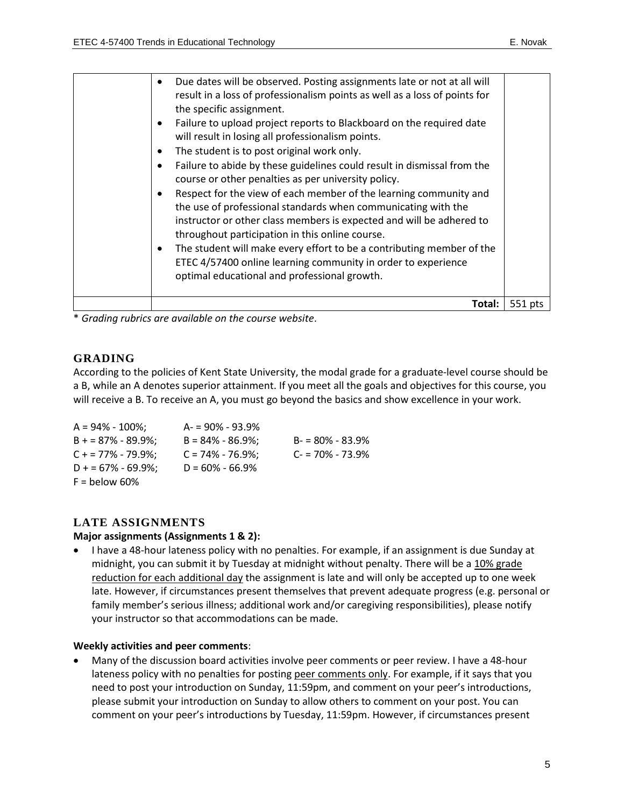| result in a loss of professionalism points as well as a loss of points for<br>the specific assignment.<br>Failure to upload project reports to Blackboard on the required date<br>$\bullet$<br>will result in losing all professionalism points.<br>The student is to post original work only.<br>$\bullet$<br>Failure to abide by these guidelines could result in dismissal from the<br>$\bullet$<br>course or other penalties as per university policy.<br>Respect for the view of each member of the learning community and<br>$\bullet$<br>the use of professional standards when communicating with the<br>instructor or other class members is expected and will be adhered to<br>throughout participation in this online course.<br>The student will make every effort to be a contributing member of the<br>$\bullet$<br>ETEC 4/57400 online learning community in order to experience<br>optimal educational and professional growth. |         |
|-------------------------------------------------------------------------------------------------------------------------------------------------------------------------------------------------------------------------------------------------------------------------------------------------------------------------------------------------------------------------------------------------------------------------------------------------------------------------------------------------------------------------------------------------------------------------------------------------------------------------------------------------------------------------------------------------------------------------------------------------------------------------------------------------------------------------------------------------------------------------------------------------------------------------------------------------|---------|
| Total:                                                                                                                                                                                                                                                                                                                                                                                                                                                                                                                                                                                                                                                                                                                                                                                                                                                                                                                                          | 551 pts |

\* *Grading rubrics are available on the course website*.

### **GRADING**

According to the policies of Kent State University, the modal grade for a graduate-level course should be a B, while an A denotes superior attainment. If you meet all the goals and objectives for this course, you will receive a B. To receive an A, you must go beyond the basics and show excellence in your work.

| $A = 94\% - 100\%$   | $A = 90\% - 93.9\%$  |                     |
|----------------------|----------------------|---------------------|
| $B = 87\% - 89.9\%;$ | $B = 84\% - 86.9\%$  | $B = 80\% - 83.9\%$ |
| $C + 77\% - 79.9\%$  | $C = 74\% - 76.9\%;$ | $C = 70\% - 73.9\%$ |
| $D + 57\% - 69.9\%$  | $D = 60\% - 66.9\%$  |                     |
| $F =$ below 60%      |                      |                     |

### **LATE ASSIGNMENTS**

#### **Major assignments (Assignments 1 & 2):**

• I have a 48-hour lateness policy with no penalties. For example, if an assignment is due Sunday at midnight, you can submit it by Tuesday at midnight without penalty. There will be a 10% grade reduction for each additional day the assignment is late and will only be accepted up to one week late. However, if circumstances present themselves that prevent adequate progress (e.g. personal or family member's serious illness; additional work and/or caregiving responsibilities), please notify your instructor so that accommodations can be made.

#### **Weekly activities and peer comments**:

• Many of the discussion board activities involve peer comments or peer review. I have a 48-hour lateness policy with no penalties for posting peer comments only. For example, if it says that you need to post your introduction on Sunday, 11:59pm, and comment on your peer's introductions, please submit your introduction on Sunday to allow others to comment on your post. You can comment on your peer's introductions by Tuesday, 11:59pm. However, if circumstances present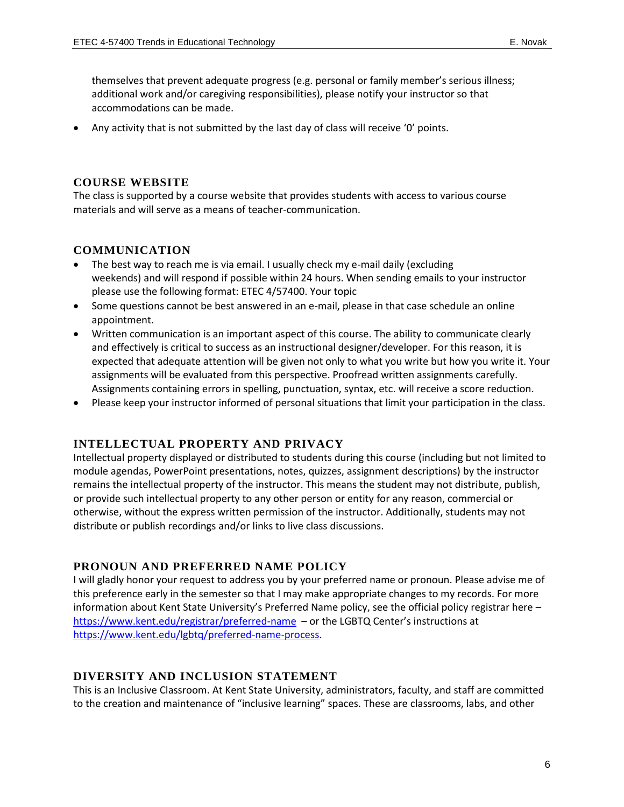themselves that prevent adequate progress (e.g. personal or family member's serious illness; additional work and/or caregiving responsibilities), please notify your instructor so that accommodations can be made.

Any activity that is not submitted by the last day of class will receive 'O' points.

### **COURSE WEBSITE**

The class is supported by a course website that provides students with access to various course materials and will serve as a means of teacher-communication.

### **COMMUNICATION**

- The best way to reach me is via email. I usually check my e-mail daily (excluding weekends) and will respond if possible within 24 hours. When sending emails to your instructor please use the following format: ETEC 4/57400. Your topic
- Some questions cannot be best answered in an e-mail, please in that case schedule an online appointment.
- Written communication is an important aspect of this course. The ability to communicate clearly and effectively is critical to success as an instructional designer/developer. For this reason, it is expected that adequate attention will be given not only to what you write but how you write it. Your assignments will be evaluated from this perspective. Proofread written assignments carefully. Assignments containing errors in spelling, punctuation, syntax, etc. will receive a score reduction.
- Please keep your instructor informed of personal situations that limit your participation in the class.

### **INTELLECTUAL PROPERTY AND PRIVACY**

Intellectual property displayed or distributed to students during this course (including but not limited to module agendas, PowerPoint presentations, notes, quizzes, assignment descriptions) by the instructor remains the intellectual property of the instructor. This means the student may not distribute, publish, or provide such intellectual property to any other person or entity for any reason, commercial or otherwise, without the express written permission of the instructor. Additionally, students may not distribute or publish recordings and/or links to live class discussions.

### **PRONOUN AND PREFERRED NAME POLICY**

I will gladly honor your request to address you by your preferred name or pronoun. Please advise me of this preference early in the semester so that I may make appropriate changes to my records. For more information about Kent State University's Preferred Name policy, see the official policy registrar here – <https://www.kent.edu/registrar/preferred-name>– or the LGBTQ Center's instructions at [https://www.kent.edu/lgbtq/preferred-name-process.](https://www.kent.edu/lgbtq/preferred-name-process)

### **DIVERSITY AND INCLUSION STATEMENT**

This is an Inclusive Classroom. At Kent State University, administrators, faculty, and staff are committed to the creation and maintenance of "inclusive learning" spaces. These are classrooms, labs, and other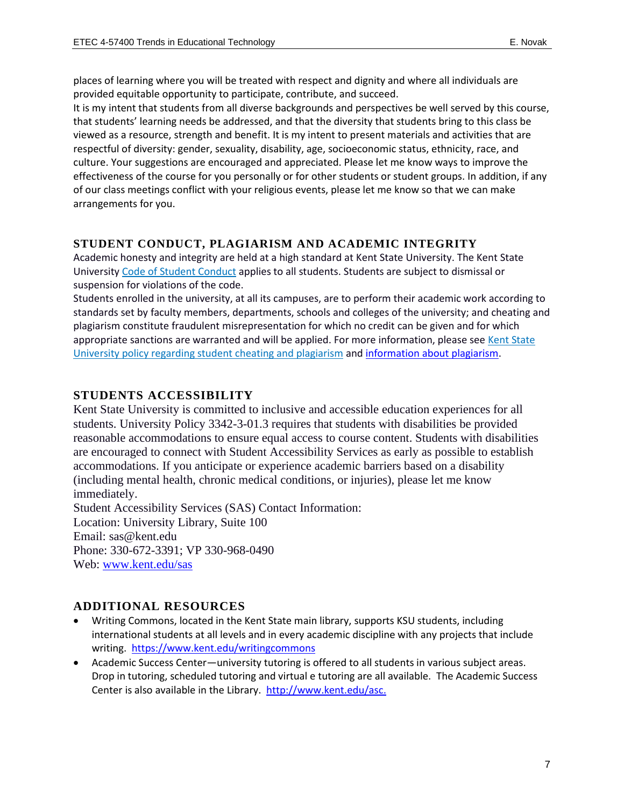places of learning where you will be treated with respect and dignity and where all individuals are provided equitable opportunity to participate, contribute, and succeed.

It is my intent that students from all diverse backgrounds and perspectives be well served by this course, that students' learning needs be addressed, and that the diversity that students bring to this class be viewed as a resource, strength and benefit. It is my intent to present materials and activities that are respectful of diversity: gender, sexuality, disability, age, socioeconomic status, ethnicity, race, and culture. Your suggestions are encouraged and appreciated. Please let me know ways to improve the effectiveness of the course for you personally or for other students or student groups. In addition, if any of our class meetings conflict with your religious events, please let me know so that we can make arrangements for you.

### **STUDENT CONDUCT, PLAGIARISM AND ACADEMIC INTEGRITY**

Academic honesty and integrity are held at a high standard at Kent State University. The Kent State University [Code of Student Conduct](https://www.kent.edu/studentconduct/code-student-conduct) applies to all students. Students are subject to dismissal or suspension for violations of the code.

Students enrolled in the university, at all its campuses, are to perform their academic work according to standards set by faculty members, departments, schools and colleges of the university; and cheating and plagiarism constitute fraudulent misrepresentation for which no credit can be given and for which appropriate sanctions are warranted and will be applied. For more information, please see [Kent State](https://www.kent.edu/policyreg/administrative-policy-regarding-student-cheating-and-plagiarism)  [University policy regarding student cheating and plagiarism](https://www.kent.edu/policyreg/administrative-policy-regarding-student-cheating-and-plagiarism) an[d information about plagiarism.](https://www.kent.edu/plagiarism/information-students)

### **STUDENTS ACCESSIBILITY**

Kent State University is committed to inclusive and accessible education experiences for all students. University Policy 3342-3-01.3 requires that students with disabilities be provided reasonable accommodations to ensure equal access to course content. Students with disabilities are encouraged to connect with Student Accessibility Services as early as possible to establish accommodations. If you anticipate or experience academic barriers based on a disability (including mental health, chronic medical conditions, or injuries), please let me know immediately. Student Accessibility Services (SAS) Contact Information:

Location: University Library, Suite 100 Email: [sas@kent.edu](mailto:sas@kent.edu) Phone: 330-672-3391; VP 330-968-0490 Web: [www.kent.edu/sas](https://www.kent.edu/sas)

### **ADDITIONAL RESOURCES**

- Writing Commons, located in the Kent State main library, supports KSU students, including international students at all levels and in every academic discipline with any projects that include writing. <https://www.kent.edu/writingcommons>
- Academic Success Center—university tutoring is offered to all students in various subject areas. Drop in tutoring, scheduled tutoring and virtual e tutoring are all available. The Academic Success Center is also available in the Library. [http://www.kent.edu/asc.](http://www.kent.edu/asc)